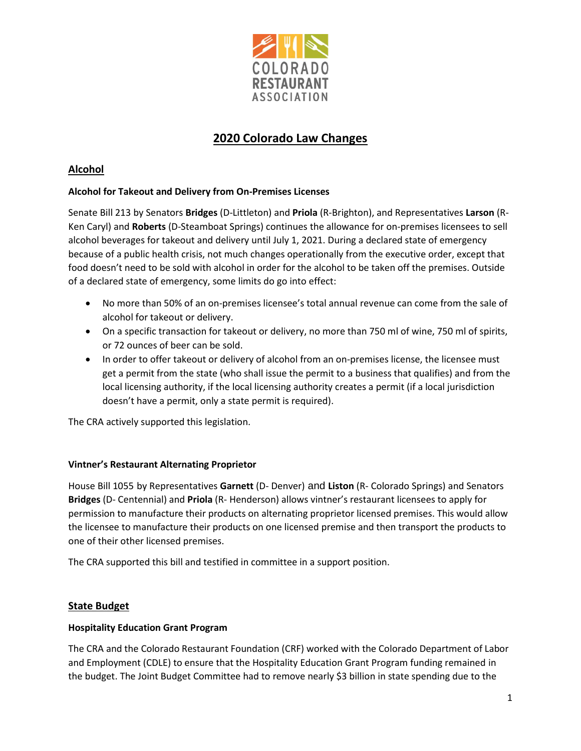

# **2020 Colorado Law Changes**

## **Alcohol**

## **Alcohol for Takeout and Delivery from On-Premises Licenses**

Senate Bill 213 by Senators **Bridges** (D-Littleton) and **Priola** (R-Brighton), and Representatives **Larson** (R-Ken Caryl) and **Roberts** (D-Steamboat Springs) continues the allowance for on-premises licensees to sell alcohol beverages for takeout and delivery until July 1, 2021. During a declared state of emergency because of a public health crisis, not much changes operationally from the executive order, except that food doesn't need to be sold with alcohol in order for the alcohol to be taken off the premises. Outside of a declared state of emergency, some limits do go into effect:

- No more than 50% of an on-premises licensee's total annual revenue can come from the sale of alcohol for takeout or delivery.
- On a specific transaction for takeout or delivery, no more than 750 ml of wine, 750 ml of spirits, or 72 ounces of beer can be sold.
- In order to offer takeout or delivery of alcohol from an on-premises license, the licensee must get a permit from the state (who shall issue the permit to a business that qualifies) and from the local licensing authority, if the local licensing authority creates a permit (if a local jurisdiction doesn't have a permit, only a state permit is required).

The CRA actively supported this legislation.

## **Vintner's Restaurant Alternating Proprietor**

House Bill 1055 by Representatives **Garnett** (D- Denver) and **Liston** (R- Colorado Springs) and Senators **Bridges** (D- Centennial) and **Priola** (R- Henderson) allows vintner's restaurant licensees to apply for permission to manufacture their products on alternating proprietor licensed premises. This would allow the licensee to manufacture their products on one licensed premise and then transport the products to one of their other licensed premises.

The CRA supported this bill and testified in committee in a support position.

## **State Budget**

## **Hospitality Education Grant Program**

The CRA and the Colorado Restaurant Foundation (CRF) worked with the Colorado Department of Labor and Employment (CDLE) to ensure that the Hospitality Education Grant Program funding remained in the budget. The Joint Budget Committee had to remove nearly \$3 billion in state spending due to the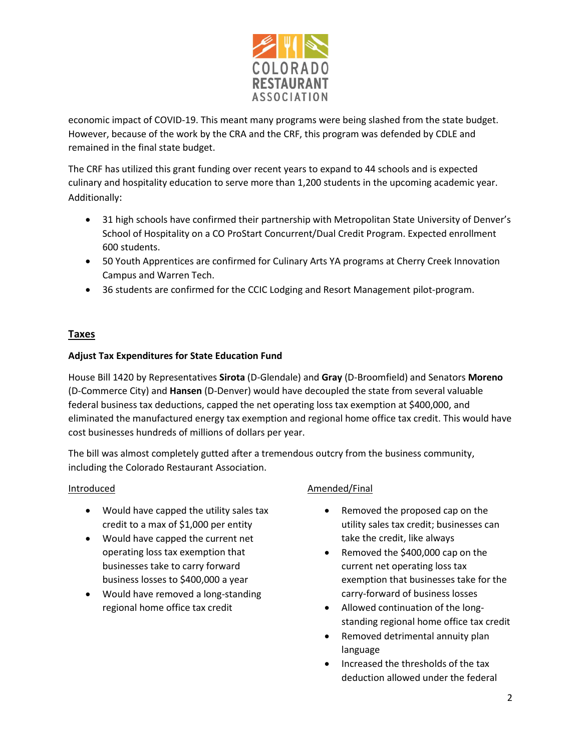

economic impact of COVID-19. This meant many programs were being slashed from the state budget. However, because of the work by the CRA and the CRF, this program was defended by CDLE and remained in the final state budget.

The CRF has utilized this grant funding over recent years to expand to 44 schools and is expected culinary and hospitality education to serve more than 1,200 students in the upcoming academic year. Additionally:

- 31 high schools have confirmed their partnership with Metropolitan State University of Denver's School of Hospitality on a CO ProStart Concurrent/Dual Credit Program. Expected enrollment 600 students.
- 50 Youth Apprentices are confirmed for Culinary Arts YA programs at Cherry Creek Innovation Campus and Warren Tech.
- 36 students are confirmed for the CCIC Lodging and Resort Management pilot-program.

## **Taxes**

## **Adjust Tax Expenditures for State Education Fund**

House Bill 1420 by Representatives **Sirota** (D-Glendale) and **Gray** (D-Broomfield) and Senators **Moreno** (D-Commerce City) and **Hansen** (D-Denver) would have decoupled the state from several valuable federal business tax deductions, capped the net operating loss tax exemption at \$400,000, and eliminated the manufactured energy tax exemption and regional home office tax credit. This would have cost businesses hundreds of millions of dollars per year.

The bill was almost completely gutted after a tremendous outcry from the business community, including the Colorado Restaurant Association.

## **Introduced**

- Would have capped the utility sales tax credit to a max of \$1,000 per entity
- Would have capped the current net operating loss tax exemption that businesses take to carry forward business losses to \$400,000 a year
- Would have removed a long-standing regional home office tax credit

## Amended/Final

- Removed the proposed cap on the utility sales tax credit; businesses can take the credit, like always
- Removed the \$400,000 cap on the current net operating loss tax exemption that businesses take for the carry-forward of business losses
- Allowed continuation of the longstanding regional home office tax credit
- Removed detrimental annuity plan language
- Increased the thresholds of the tax deduction allowed under the federal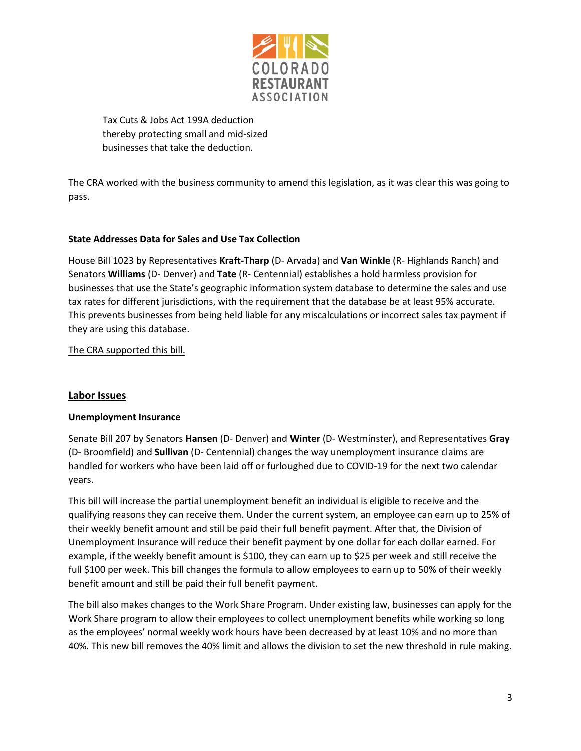

Tax Cuts & Jobs Act 199A deduction thereby protecting small and mid-sized businesses that take the deduction.

The CRA worked with the business community to amend this legislation, as it was clear this was going to pass.

## **State Addresses Data for Sales and Use Tax Collection**

House Bill 1023 by Representatives **Kraft-Tharp** (D- Arvada) and **Van Winkle** (R- Highlands Ranch) and Senators **Williams** (D- Denver) and **Tate** (R- Centennial) establishes a hold harmless provision for businesses that use the State's geographic information system database to determine the sales and use tax rates for different jurisdictions, with the requirement that the database be at least 95% accurate. This prevents businesses from being held liable for any miscalculations or incorrect sales tax payment if they are using this database.

The CRA supported this bill.

## **Labor Issues**

## **Unemployment Insurance**

Senate Bill 207 by Senators **Hansen** (D- Denver) and **Winter** (D- Westminster), and Representatives **Gray** (D- Broomfield) and **Sullivan** (D- Centennial) changes the way unemployment insurance claims are handled for workers who have been laid off or furloughed due to COVID-19 for the next two calendar years.

This bill will increase the partial unemployment benefit an individual is eligible to receive and the qualifying reasons they can receive them. Under the current system, an employee can earn up to 25% of their weekly benefit amount and still be paid their full benefit payment. After that, the Division of Unemployment Insurance will reduce their benefit payment by one dollar for each dollar earned. For example, if the weekly benefit amount is \$100, they can earn up to \$25 per week and still receive the full \$100 per week. This bill changes the formula to allow employees to earn up to 50% of their weekly benefit amount and still be paid their full benefit payment.

The bill also makes changes to the Work Share Program. Under existing law, businesses can apply for the Work Share program to allow their employees to collect unemployment benefits while working so long as the employees' normal weekly work hours have been decreased by at least 10% and no more than 40%. This new bill removes the 40% limit and allows the division to set the new threshold in rule making.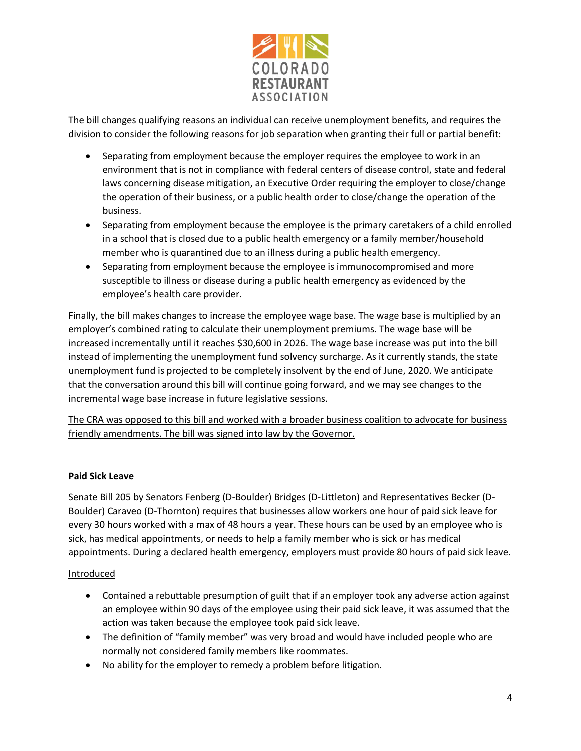

The bill changes qualifying reasons an individual can receive unemployment benefits, and requires the division to consider the following reasons for job separation when granting their full or partial benefit:

- Separating from employment because the employer requires the employee to work in an environment that is not in compliance with federal centers of disease control, state and federal laws concerning disease mitigation, an Executive Order requiring the employer to close/change the operation of their business, or a public health order to close/change the operation of the business.
- Separating from employment because the employee is the primary caretakers of a child enrolled in a school that is closed due to a public health emergency or a family member/household member who is quarantined due to an illness during a public health emergency.
- Separating from employment because the employee is immunocompromised and more susceptible to illness or disease during a public health emergency as evidenced by the employee's health care provider.

Finally, the bill makes changes to increase the employee wage base. The wage base is multiplied by an employer's combined rating to calculate their unemployment premiums. The wage base will be increased incrementally until it reaches \$30,600 in 2026. The wage base increase was put into the bill instead of implementing the unemployment fund solvency surcharge. As it currently stands, the state unemployment fund is projected to be completely insolvent by the end of June, 2020. We anticipate that the conversation around this bill will continue going forward, and we may see changes to the incremental wage base increase in future legislative sessions.

The CRA was opposed to this bill and worked with a broader business coalition to advocate for business friendly amendments. The bill was signed into law by the Governor.

## **Paid Sick Leave**

Senate Bill 205 by Senators Fenberg (D-Boulder) Bridges (D-Littleton) and Representatives Becker (D-Boulder) Caraveo (D-Thornton) requires that businesses allow workers one hour of paid sick leave for every 30 hours worked with a max of 48 hours a year. These hours can be used by an employee who is sick, has medical appointments, or needs to help a family member who is sick or has medical appointments. During a declared health emergency, employers must provide 80 hours of paid sick leave.

## Introduced

- Contained a rebuttable presumption of guilt that if an employer took any adverse action against an employee within 90 days of the employee using their paid sick leave, it was assumed that the action was taken because the employee took paid sick leave.
- The definition of "family member" was very broad and would have included people who are normally not considered family members like roommates.
- No ability for the employer to remedy a problem before litigation.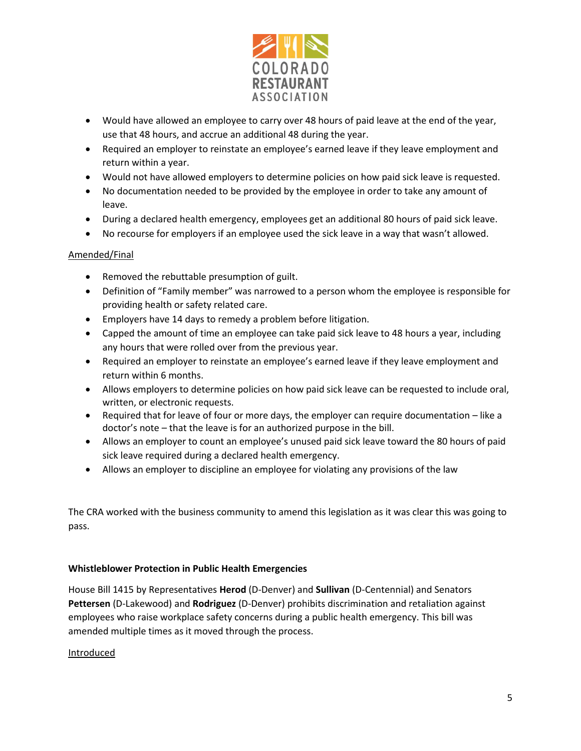

- Would have allowed an employee to carry over 48 hours of paid leave at the end of the year, use that 48 hours, and accrue an additional 48 during the year.
- Required an employer to reinstate an employee's earned leave if they leave employment and return within a year.
- Would not have allowed employers to determine policies on how paid sick leave is requested.
- No documentation needed to be provided by the employee in order to take any amount of leave.
- During a declared health emergency, employees get an additional 80 hours of paid sick leave.
- No recourse for employers if an employee used the sick leave in a way that wasn't allowed.

#### Amended/Final

- Removed the rebuttable presumption of guilt.
- Definition of "Family member" was narrowed to a person whom the employee is responsible for providing health or safety related care.
- Employers have 14 days to remedy a problem before litigation.
- Capped the amount of time an employee can take paid sick leave to 48 hours a year, including any hours that were rolled over from the previous year.
- Required an employer to reinstate an employee's earned leave if they leave employment and return within 6 months.
- Allows employers to determine policies on how paid sick leave can be requested to include oral, written, or electronic requests.
- Required that for leave of four or more days, the employer can require documentation like a doctor's note – that the leave is for an authorized purpose in the bill.
- Allows an employer to count an employee's unused paid sick leave toward the 80 hours of paid sick leave required during a declared health emergency.
- Allows an employer to discipline an employee for violating any provisions of the law

The CRA worked with the business community to amend this legislation as it was clear this was going to pass.

#### **Whistleblower Protection in Public Health Emergencies**

House Bill 1415 by Representatives **Herod** (D-Denver) and **Sullivan** (D-Centennial) and Senators **Pettersen** (D-Lakewood) and **Rodriguez** (D-Denver) prohibits discrimination and retaliation against employees who raise workplace safety concerns during a public health emergency. This bill was amended multiple times as it moved through the process.

#### Introduced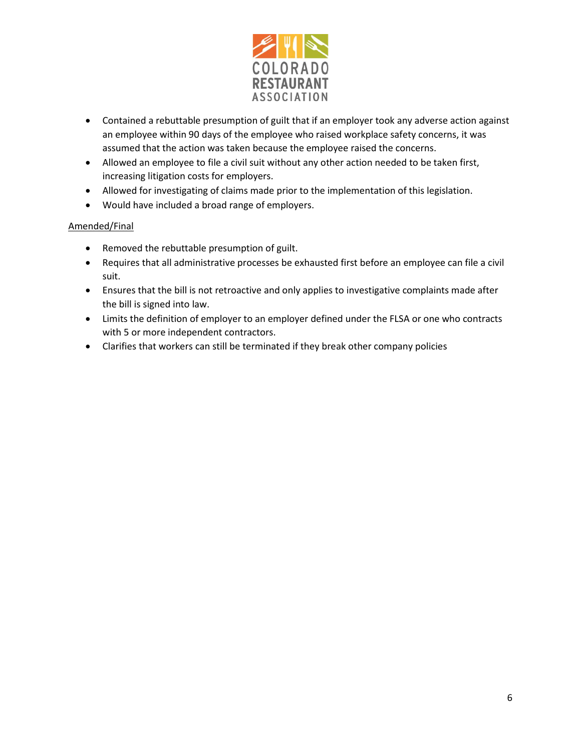

- Contained a rebuttable presumption of guilt that if an employer took any adverse action against an employee within 90 days of the employee who raised workplace safety concerns, it was assumed that the action was taken because the employee raised the concerns.
- Allowed an employee to file a civil suit without any other action needed to be taken first, increasing litigation costs for employers.
- Allowed for investigating of claims made prior to the implementation of this legislation.
- Would have included a broad range of employers.

#### Amended/Final

- Removed the rebuttable presumption of guilt.
- Requires that all administrative processes be exhausted first before an employee can file a civil suit.
- Ensures that the bill is not retroactive and only applies to investigative complaints made after the bill is signed into law.
- Limits the definition of employer to an employer defined under the FLSA or one who contracts with 5 or more independent contractors.
- Clarifies that workers can still be terminated if they break other company policies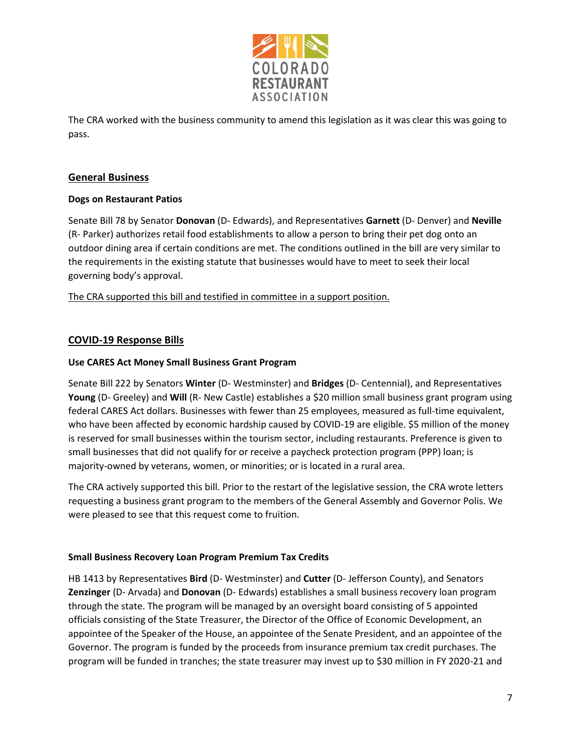

The CRA worked with the business community to amend this legislation as it was clear this was going to pass.

## **General Business**

#### **Dogs on Restaurant Patios**

Senate Bill 78 by Senator **Donovan** (D- Edwards), and Representatives **Garnett** (D- Denver) and **Neville** (R- Parker) authorizes retail food establishments to allow a person to bring their pet dog onto an outdoor dining area if certain conditions are met. The conditions outlined in the bill are very similar to the requirements in the existing statute that businesses would have to meet to seek their local governing body's approval.

The CRA supported this bill and testified in committee in a support position.

## **COVID-19 Response Bills**

#### **Use CARES Act Money Small Business Grant Program**

Senate Bill 222 by Senators **Winter** (D- Westminster) and **Bridges** (D- Centennial), and Representatives **Young** (D- Greeley) and **Will** (R- New Castle) establishes a \$20 million small business grant program using federal CARES Act dollars. Businesses with fewer than 25 employees, measured as full-time equivalent, who have been affected by economic hardship caused by COVID-19 are eligible. \$5 million of the money is reserved for small businesses within the tourism sector, including restaurants. Preference is given to small businesses that did not qualify for or receive a paycheck protection program (PPP) loan; is majority-owned by veterans, women, or minorities; or is located in a rural area.

The CRA actively supported this bill. Prior to the restart of the legislative session, the CRA wrote letters requesting a business grant program to the members of the General Assembly and Governor Polis. We were pleased to see that this request come to fruition.

#### **Small Business Recovery Loan Program Premium Tax Credits**

HB 1413 by Representatives **Bird** (D- Westminster) and **Cutter** (D- Jefferson County), and Senators **Zenzinger** (D- Arvada) and **Donovan** (D- Edwards) establishes a small business recovery loan program through the state. The program will be managed by an oversight board consisting of 5 appointed officials consisting of the State Treasurer, the Director of the Office of Economic Development, an appointee of the Speaker of the House, an appointee of the Senate President, and an appointee of the Governor. The program is funded by the proceeds from insurance premium tax credit purchases. The program will be funded in tranches; the state treasurer may invest up to \$30 million in FY 2020-21 and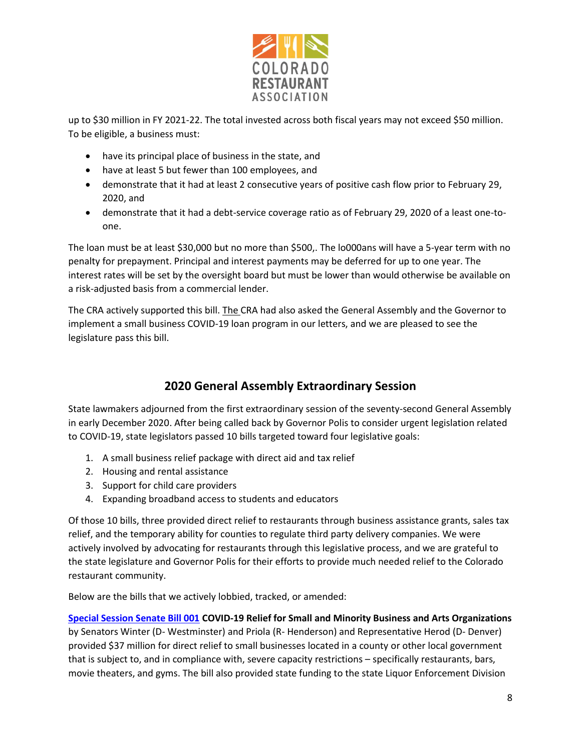

up to \$30 million in FY 2021-22. The total invested across both fiscal years may not exceed \$50 million. To be eligible, a business must:

- have its principal place of business in the state, and
- have at least 5 but fewer than 100 employees, and
- demonstrate that it had at least 2 consecutive years of positive cash flow prior to February 29, 2020, and
- demonstrate that it had a debt-service coverage ratio as of February 29, 2020 of a least one-toone.

The loan must be at least \$30,000 but no more than \$500,. The lo000ans will have a 5-year term with no penalty for prepayment. Principal and interest payments may be deferred for up to one year. The interest rates will be set by the oversight board but must be lower than would otherwise be available on a risk-adjusted basis from a commercial lender.

The CRA actively supported this bill. The CRA had also asked the General Assembly and the Governor to implement a small business COVID-19 loan program in our letters, and we are pleased to see the legislature pass this bill.

# **2020 General Assembly Extraordinary Session**

State lawmakers adjourned from the first extraordinary session of the seventy-second General Assembly in early December 2020. After being called back by Governor Polis to consider urgent legislation related to COVID-19, state legislators passed 10 bills targeted toward four legislative goals:

- 1. A small business relief package with direct aid and tax relief
- 2. Housing and rental assistance
- 3. Support for child care providers
- 4. Expanding broadband access to students and educators

Of those 10 bills, three provided direct relief to restaurants through business assistance grants, sales tax relief, and the temporary ability for counties to regulate third party delivery companies. We were actively involved by advocating for restaurants through this legislative process, and we are grateful to the state legislature and Governor Polis for their efforts to provide much needed relief to the Colorado restaurant community.

Below are the bills that we actively lobbied, tracked, or amended:

**[Special Session Senate Bill 001](https://leg.colorado.gov/bills/SB20B-001) COVID-19 Relief for Small and Minority Business and Arts Organizations**  by Senators Winter (D- Westminster) and Priola (R- Henderson) and Representative Herod (D- Denver) provided \$37 million for direct relief to small businesses located in a county or other local government that is subject to, and in compliance with, severe capacity restrictions – specifically restaurants, bars, movie theaters, and gyms. The bill also provided state funding to the state Liquor Enforcement Division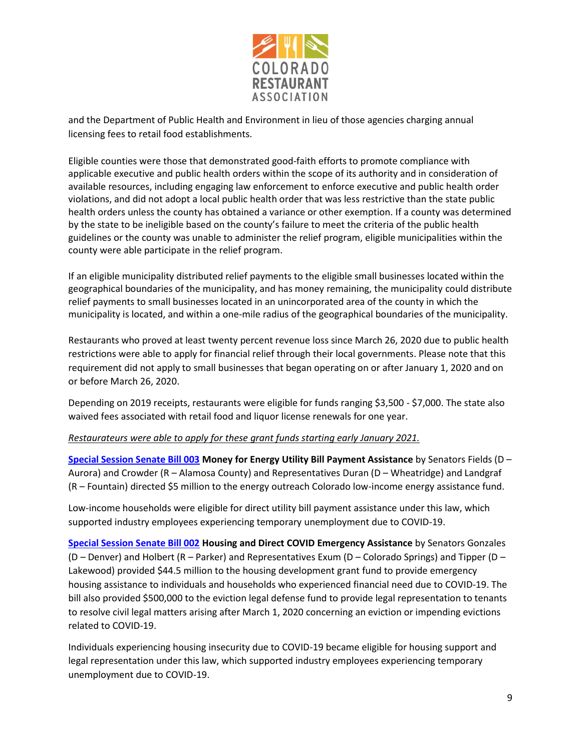

and the Department of Public Health and Environment in lieu of those agencies charging annual licensing fees to retail food establishments.

Eligible counties were those that demonstrated good-faith efforts to promote compliance with applicable executive and public health orders within the scope of its authority and in consideration of available resources, including engaging law enforcement to enforce executive and public health order violations, and did not adopt a local public health order that was less restrictive than the state public health orders unless the county has obtained a variance or other exemption. If a county was determined by the state to be ineligible based on the county's failure to meet the criteria of the public health guidelines or the county was unable to administer the relief program, eligible municipalities within the county were able participate in the relief program.

If an eligible municipality distributed relief payments to the eligible small businesses located within the geographical boundaries of the municipality, and has money remaining, the municipality could distribute relief payments to small businesses located in an unincorporated area of the county in which the municipality is located, and within a one-mile radius of the geographical boundaries of the municipality.

Restaurants who proved at least twenty percent revenue loss since March 26, 2020 due to public health restrictions were able to apply for financial relief through their local governments. Please note that this requirement did not apply to small businesses that began operating on or after January 1, 2020 and on or before March 26, 2020.

Depending on 2019 receipts, restaurants were eligible for funds ranging \$3,500 - \$7,000. The state also waived fees associated with retail food and liquor license renewals for one year.

#### *Restaurateurs were able to apply for these grant funds starting early January 2021.*

**[Special Session Senate Bill 003](https://leg.colorado.gov/bills/SB20B-003) Money for Energy Utility Bill Payment Assistance** by Senators Fields (D – Aurora) and Crowder (R – Alamosa County) and Representatives Duran (D – Wheatridge) and Landgraf (R – Fountain) directed \$5 million to the energy outreach Colorado low-income energy assistance fund.

Low-income households were eligible for direct utility bill payment assistance under this law, which supported industry employees experiencing temporary unemployment due to COVID-19.

**[Special Session Senate Bill 002](https://leg.colorado.gov/bills/SB20B-002) Housing and Direct COVID Emergency Assistance** by Senators Gonzales (D – Denver) and Holbert (R – Parker) and Representatives Exum (D – Colorado Springs) and Tipper (D – Lakewood) provided \$44.5 million to the housing development grant fund to provide emergency housing assistance to individuals and households who experienced financial need due to COVID-19. The bill also provided \$500,000 to the eviction legal defense fund to provide legal representation to tenants to resolve civil legal matters arising after March 1, 2020 concerning an eviction or impending evictions related to COVID-19.

Individuals experiencing housing insecurity due to COVID-19 became eligible for housing support and legal representation under this law, which supported industry employees experiencing temporary unemployment due to COVID-19.